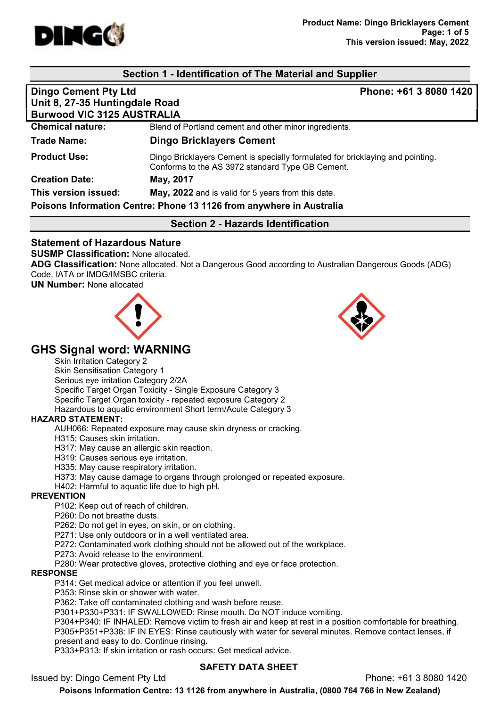

# Section 1 - Identification of The Material and Supplier

| <b>Dingo Cement Pty Ltd</b>                                          | Phone: +61 3 8080 1420                                                                                                             |  |  |  |
|----------------------------------------------------------------------|------------------------------------------------------------------------------------------------------------------------------------|--|--|--|
| Unit 8, 27-35 Huntingdale Road                                       |                                                                                                                                    |  |  |  |
| <b>Burwood VIC 3125 AUSTRALIA</b>                                    |                                                                                                                                    |  |  |  |
| <b>Chemical nature:</b>                                              | Blend of Portland cement and other minor ingredients.                                                                              |  |  |  |
| Trade Name:                                                          | <b>Dingo Bricklayers Cement</b>                                                                                                    |  |  |  |
| <b>Product Use:</b>                                                  | Dingo Bricklayers Cement is specially formulated for bricklaying and pointing.<br>Conforms to the AS 3972 standard Type GB Cement. |  |  |  |
| <b>Creation Date:</b>                                                | May, 2017                                                                                                                          |  |  |  |
| This version issued:                                                 | May, 2022 and is valid for 5 years from this date.                                                                                 |  |  |  |
| Poisons Information Centre: Phone 13 1126 from anywhere in Australia |                                                                                                                                    |  |  |  |

## Section 2 - Hazards Identification

#### Statement of Hazardous Nature

SUSMP Classification: None allocated.

ADG Classification: None allocated. Not a Dangerous Good according to Australian Dangerous Goods (ADG) Code, IATA or IMDG/IMSBC criteria.

UN Number: None allocated





# GHS Signal word: WARNING

Skin Irritation Category 2

Skin Sensitisation Category 1 Serious eye irritation Category 2/2A Specific Target Organ Toxicity - Single Exposure Category 3 Specific Target Organ toxicity - repeated exposure Category 2 Hazardous to aquatic environment Short term/Acute Category 3

#### HAZARD STATEMENT:

AUH066: Repeated exposure may cause skin dryness or cracking.

H315: Causes skin irritation.

H317: May cause an allergic skin reaction.

H319: Causes serious eye irritation.

H335: May cause respiratory irritation.

H373: May cause damage to organs through prolonged or repeated exposure.

H402: Harmful to aquatic life due to high pH.

#### **PREVENTION**

P102: Keep out of reach of children.

P260: Do not breathe dusts.

P262: Do not get in eyes, on skin, or on clothing.

P271: Use only outdoors or in a well ventilated area.

P272: Contaminated work clothing should not be allowed out of the workplace.

P273: Avoid release to the environment.

P280: Wear protective gloves, protective clothing and eye or face protection.

#### RESPONSE

P314: Get medical advice or attention if you feel unwell.

P353: Rinse skin or shower with water.

P362: Take off contaminated clothing and wash before reuse.

P301+P330+P331: IF SWALLOWED: Rinse mouth. Do NOT induce vomiting.

P304+P340: IF INHALED: Remove victim to fresh air and keep at rest in a position comfortable for breathing. P305+P351+P338: IF IN EYES: Rinse cautiously with water for several minutes. Remove contact lenses, if present and easy to do. Continue rinsing.

P333+P313: If skin irritation or rash occurs: Get medical advice.

#### SAFETY DATA SHEET

Issued by: Dingo Cement Pty Ltd Phone: +61 3 8080 1420

Poisons Information Centre: 13 1126 from anywhere in Australia, (0800 764 766 in New Zealand)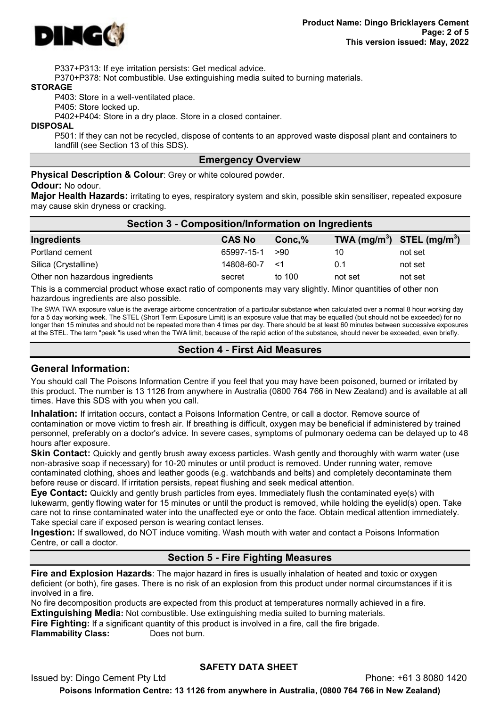

P337+P313: If eye irritation persists: Get medical advice.

P370+P378: Not combustible. Use extinguishing media suited to burning materials.

#### STORAGE

P403: Store in a well-ventilated place.

P405: Store locked up.

P402+P404: Store in a dry place. Store in a closed container.

#### **DISPOSAL**

P501: If they can not be recycled, dispose of contents to an approved waste disposal plant and containers to landfill (see Section 13 of this SDS).

#### Emergency Overview

Physical Description & Colour: Grey or white coloured powder.

#### Odour: No odour.

Major Health Hazards: irritating to eyes, respiratory system and skin, possible skin sensitiser, repeated exposure may cause skin dryness or cracking.

| Section 3 - Composition/Information on Ingredients |               |           |                                |         |  |
|----------------------------------------------------|---------------|-----------|--------------------------------|---------|--|
| Ingredients                                        | <b>CAS No</b> | $Conc.\%$ | TWA $(mg/m^3)$ STEL $(mg/m^3)$ |         |  |
| Portland cement                                    | 65997-15-1    | >90       | 10                             | not set |  |
| Silica (Crystalline)                               | 14808-60-7    | —≺1       | 0.1                            | not set |  |
| Other non hazardous ingredients                    | secret        | to 100    | not set                        | not set |  |

This is a commercial product whose exact ratio of components may vary slightly. Minor quantities of other non hazardous ingredients are also possible.

The SWA TWA exposure value is the average airborne concentration of a particular substance when calculated over a normal 8 hour working day for a 5 day working week. The STEL (Short Term Exposure Limit) is an exposure value that may be equalled (but should not be exceeded) for no longer than 15 minutes and should not be repeated more than 4 times per day. There should be at least 60 minutes between successive exposures at the STEL. The term "peak "is used when the TWA limit, because of the rapid action of the substance, should never be exceeded, even briefly.

## Section 4 - First Aid Measures

#### General Information:

You should call The Poisons Information Centre if you feel that you may have been poisoned, burned or irritated by this product. The number is 13 1126 from anywhere in Australia (0800 764 766 in New Zealand) and is available at all times. Have this SDS with you when you call.

Inhalation: If irritation occurs, contact a Poisons Information Centre, or call a doctor. Remove source of contamination or move victim to fresh air. If breathing is difficult, oxygen may be beneficial if administered by trained personnel, preferably on a doctor's advice. In severe cases, symptoms of pulmonary oedema can be delayed up to 48 hours after exposure.

**Skin Contact:** Quickly and gently brush away excess particles. Wash gently and thoroughly with warm water (use non-abrasive soap if necessary) for 10-20 minutes or until product is removed. Under running water, remove contaminated clothing, shoes and leather goods (e.g. watchbands and belts) and completely decontaminate them before reuse or discard. If irritation persists, repeat flushing and seek medical attention.

Eye Contact: Quickly and gently brush particles from eyes. Immediately flush the contaminated eye(s) with lukewarm, gently flowing water for 15 minutes or until the product is removed, while holding the eyelid(s) open. Take care not to rinse contaminated water into the unaffected eye or onto the face. Obtain medical attention immediately. Take special care if exposed person is wearing contact lenses.

Ingestion: If swallowed, do NOT induce vomiting. Wash mouth with water and contact a Poisons Information Centre, or call a doctor.

## Section 5 - Fire Fighting Measures

Fire and Explosion Hazards: The major hazard in fires is usually inhalation of heated and toxic or oxygen deficient (or both), fire gases. There is no risk of an explosion from this product under normal circumstances if it is involved in a fire.

No fire decomposition products are expected from this product at temperatures normally achieved in a fire. Extinguishing Media: Not combustible. Use extinguishing media suited to burning materials.

Fire Fighting: If a significant quantity of this product is involved in a fire, call the fire brigade. **Flammability Class:** Does not burn.

## SAFETY DATA SHEET

Issued by: Dingo Cement Pty Ltd Phone: +61 3 8080 1420 Poisons Information Centre: 13 1126 from anywhere in Australia, (0800 764 766 in New Zealand)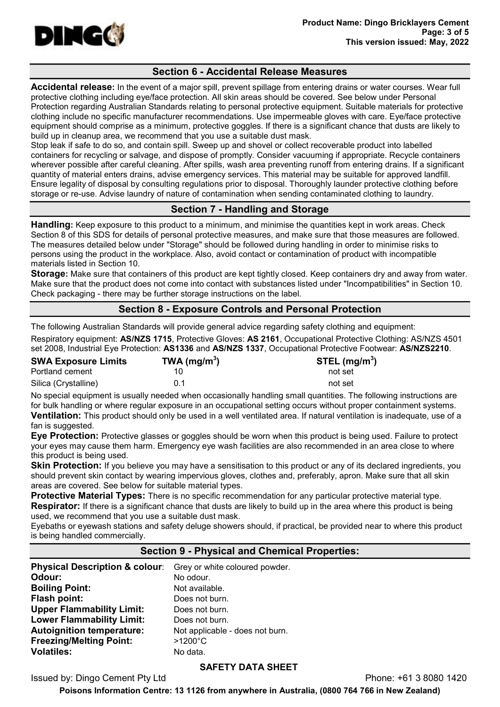

## Section 6 - Accidental Release Measures

Accidental release: In the event of a major spill, prevent spillage from entering drains or water courses. Wear full protective clothing including eye/face protection. All skin areas should be covered. See below under Personal Protection regarding Australian Standards relating to personal protective equipment. Suitable materials for protective clothing include no specific manufacturer recommendations. Use impermeable gloves with care. Eye/face protective equipment should comprise as a minimum, protective goggles. If there is a significant chance that dusts are likely to build up in cleanup area, we recommend that you use a suitable dust mask.

Stop leak if safe to do so, and contain spill. Sweep up and shovel or collect recoverable product into labelled containers for recycling or salvage, and dispose of promptly. Consider vacuuming if appropriate. Recycle containers wherever possible after careful cleaning. After spills, wash area preventing runoff from entering drains. If a significant quantity of material enters drains, advise emergency services. This material may be suitable for approved landfill. Ensure legality of disposal by consulting regulations prior to disposal. Thoroughly launder protective clothing before storage or re-use. Advise laundry of nature of contamination when sending contaminated clothing to laundry.

# Section 7 - Handling and Storage

Handling: Keep exposure to this product to a minimum, and minimise the quantities kept in work areas. Check Section 8 of this SDS for details of personal protective measures, and make sure that those measures are followed. The measures detailed below under "Storage" should be followed during handling in order to minimise risks to persons using the product in the workplace. Also, avoid contact or contamination of product with incompatible materials listed in Section 10.

Storage: Make sure that containers of this product are kept tightly closed. Keep containers dry and away from water. Make sure that the product does not come into contact with substances listed under "Incompatibilities" in Section 10. Check packaging - there may be further storage instructions on the label.

## Section 8 - Exposure Controls and Personal Protection

The following Australian Standards will provide general advice regarding safety clothing and equipment:

Respiratory equipment: AS/NZS 1715, Protective Gloves: AS 2161, Occupational Protective Clothing: AS/NZS 4501 set 2008, Industrial Eye Protection: AS1336 and AS/NZS 1337, Occupational Protective Footwear: AS/NZS2210.

| <b>SWA Exposure Limits</b> | TWA (mg/m <sup>3</sup> ) | STEL (mg/m $3)$ |
|----------------------------|--------------------------|-----------------|
| Portland cement            |                          | not set         |
| Silica (Crystalline)       | 0.1                      | not set         |

No special equipment is usually needed when occasionally handling small quantities. The following instructions are for bulk handling or where regular exposure in an occupational setting occurs without proper containment systems. Ventilation: This product should only be used in a well ventilated area. If natural ventilation is inadequate, use of a fan is suggested.

Eye Protection: Protective glasses or goggles should be worn when this product is being used. Failure to protect your eyes may cause them harm. Emergency eye wash facilities are also recommended in an area close to where this product is being used.

**Skin Protection:** If you believe you may have a sensitisation to this product or any of its declared ingredients, you should prevent skin contact by wearing impervious gloves, clothes and, preferably, apron. Make sure that all skin areas are covered. See below for suitable material types.

Protective Material Types: There is no specific recommendation for any particular protective material type. **Respirator:** If there is a significant chance that dusts are likely to build up in the area where this product is being used, we recommend that you use a suitable dust mask.

Eyebaths or eyewash stations and safety deluge showers should, if practical, be provided near to where this product is being handled commercially.

# Section 9 - Physical and Chemical Properties:

| <b>Physical Description &amp; colour:</b><br>Odour: | Grey or white coloured powder.<br>No odour. |
|-----------------------------------------------------|---------------------------------------------|
| <b>Boiling Point:</b>                               | Not available.                              |
| Flash point:                                        | Does not burn.                              |
| <b>Upper Flammability Limit:</b>                    | Does not burn.                              |
| <b>Lower Flammability Limit:</b>                    | Does not burn.                              |
| <b>Autoignition temperature:</b>                    | Not applicable - does not burn.             |
| <b>Freezing/Melting Point:</b>                      | $>1200^{\circ}$ C                           |
| <b>Volatiles:</b>                                   | No data.                                    |

## SAFETY DATA SHEET

Issued by: Dingo Cement Pty Ltd Phone: +61 3 8080 1420

Poisons Information Centre: 13 1126 from anywhere in Australia, (0800 764 766 in New Zealand)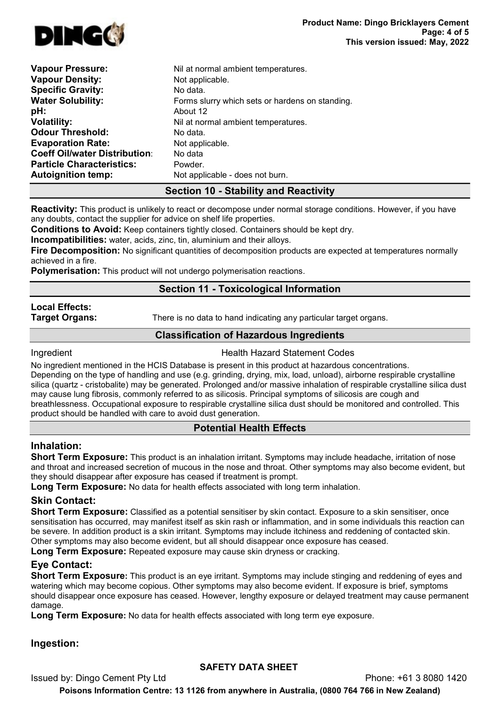

| <b>Vapour Pressure:</b>              | Nil at normal ambient temperatures.             |
|--------------------------------------|-------------------------------------------------|
| <b>Vapour Density:</b>               | Not applicable.                                 |
| <b>Specific Gravity:</b>             | No data.                                        |
| <b>Water Solubility:</b>             | Forms slurry which sets or hardens on standing. |
| pH:                                  | About 12                                        |
| <b>Volatility:</b>                   | Nil at normal ambient temperatures.             |
| <b>Odour Threshold:</b>              | No data.                                        |
| <b>Evaporation Rate:</b>             | Not applicable.                                 |
| <b>Coeff Oil/water Distribution:</b> | No data                                         |
| <b>Particle Characteristics:</b>     | Powder.                                         |
| <b>Autoignition temp:</b>            | Not applicable - does not burn.                 |
|                                      |                                                 |

## Section 10 - Stability and Reactivity

Reactivity: This product is unlikely to react or decompose under normal storage conditions. However, if you have any doubts, contact the supplier for advice on shelf life properties.

Conditions to Avoid: Keep containers tightly closed. Containers should be kept dry.

Incompatibilities: water, acids, zinc, tin, aluminium and their alloys.

Fire Decomposition: No significant quantities of decomposition products are expected at temperatures normally achieved in a fire.

Polymerisation: This product will not undergo polymerisation reactions.

# Section 11 - Toxicological Information

# Local Effects:

**Target Organs:** There is no data to hand indicating any particular target organs.

# Classification of Hazardous Ingredients

**Ingredient Health Hazard Statement Codes** 

No ingredient mentioned in the HCIS Database is present in this product at hazardous concentrations. Depending on the type of handling and use (e.g. grinding, drying, mix, load, unload), airborne respirable crystalline silica (quartz - cristobalite) may be generated. Prolonged and/or massive inhalation of respirable crystalline silica dust may cause lung fibrosis, commonly referred to as silicosis. Principal symptoms of silicosis are cough and breathlessness. Occupational exposure to respirable crystalline silica dust should be monitored and controlled. This product should be handled with care to avoid dust generation.

## Potential Health Effects

## Inhalation:

Short Term Exposure: This product is an inhalation irritant. Symptoms may include headache, irritation of nose and throat and increased secretion of mucous in the nose and throat. Other symptoms may also become evident, but they should disappear after exposure has ceased if treatment is prompt.

Long Term Exposure: No data for health effects associated with long term inhalation.

# Skin Contact:

Short Term Exposure: Classified as a potential sensitiser by skin contact. Exposure to a skin sensitiser, once sensitisation has occurred, may manifest itself as skin rash or inflammation, and in some individuals this reaction can be severe. In addition product is a skin irritant. Symptoms may include itchiness and reddening of contacted skin. Other symptoms may also become evident, but all should disappear once exposure has ceased.

Long Term Exposure: Repeated exposure may cause skin dryness or cracking.

# Eye Contact:

Short Term Exposure: This product is an eye irritant. Symptoms may include stinging and reddening of eyes and watering which may become copious. Other symptoms may also become evident. If exposure is brief, symptoms should disappear once exposure has ceased. However, lengthy exposure or delayed treatment may cause permanent damage.

**Long Term Exposure:** No data for health effects associated with long term eye exposure.

# Ingestion:

# SAFETY DATA SHEET

Issued by: Dingo Cement Pty Ltd Phone: +61 3 8080 1420

Poisons Information Centre: 13 1126 from anywhere in Australia, (0800 764 766 in New Zealand)